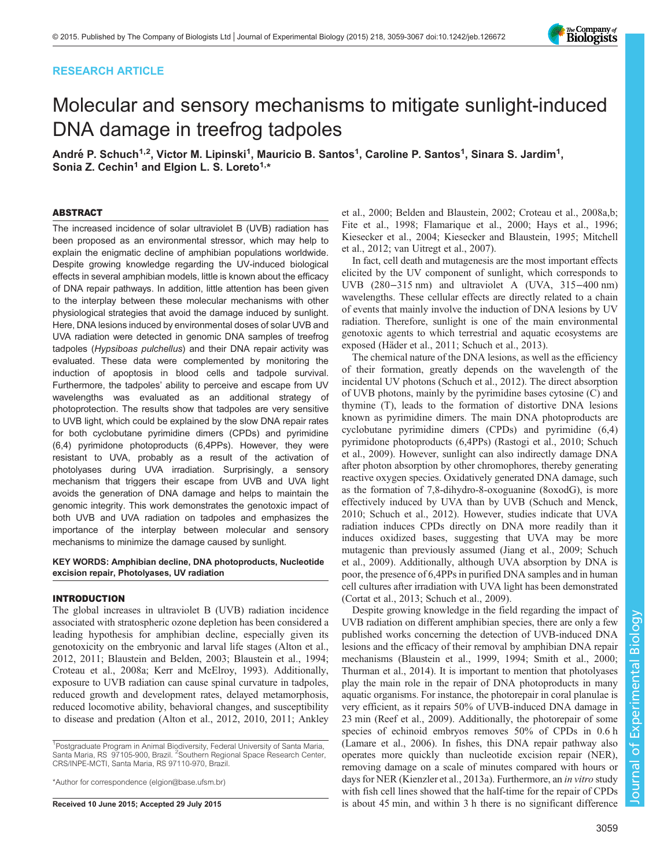# RESEARCH ARTICLE



# Molecular and sensory mechanisms to mitigate sunlight-induced DNA damage in treefrog tadpoles

André P. Schuch<sup>1,2</sup>, Victor M. Lipinski<sup>1</sup>, Mauricio B. Santos<sup>1</sup>, Caroline P. Santos<sup>1</sup>, Sinara S. Jardim<sup>1</sup>, Sonia Z. Cechin<sup>1</sup> and Elgion L. S. Loreto<sup>1,\*</sup>

#### ABSTRACT

The increased incidence of solar ultraviolet B (UVB) radiation has been proposed as an environmental stressor, which may help to explain the enigmatic decline of amphibian populations worldwide. Despite growing knowledge regarding the UV-induced biological effects in several amphibian models, little is known about the efficacy of DNA repair pathways. In addition, little attention has been given to the interplay between these molecular mechanisms with other physiological strategies that avoid the damage induced by sunlight. Here, DNA lesions induced by environmental doses of solar UVB and UVA radiation were detected in genomic DNA samples of treefrog tadpoles (Hypsiboas pulchellus) and their DNA repair activity was evaluated. These data were complemented by monitoring the induction of apoptosis in blood cells and tadpole survival. Furthermore, the tadpoles' ability to perceive and escape from UV wavelengths was evaluated as an additional strategy of photoprotection. The results show that tadpoles are very sensitive to UVB light, which could be explained by the slow DNA repair rates for both cyclobutane pyrimidine dimers (CPDs) and pyrimidine (6,4) pyrimidone photoproducts (6,4PPs). However, they were resistant to UVA, probably as a result of the activation of photolyases during UVA irradiation. Surprisingly, a sensory mechanism that triggers their escape from UVB and UVA light avoids the generation of DNA damage and helps to maintain the genomic integrity. This work demonstrates the genotoxic impact of both UVB and UVA radiation on tadpoles and emphasizes the importance of the interplay between molecular and sensory mechanisms to minimize the damage caused by sunlight.

KEY WORDS: Amphibian decline, DNA photoproducts, Nucleotide excision repair, Photolyases, UV radiation

#### INTRODUCTION

The global increases in ultraviolet B (UVB) radiation incidence associated with stratospheric ozone depletion has been considered a leading hypothesis for amphibian decline, especially given its genotoxicity on the embryonic and larval life stages [\(Alton et al.,](#page-7-0) [2012](#page-7-0), [2011](#page-7-0); [Blaustein and Belden, 2003](#page-7-0); [Blaustein et al., 1994](#page-7-0); [Croteau et al., 2008a](#page-7-0); [Kerr and McElroy, 1993\)](#page-7-0). Additionally, exposure to UVB radiation can cause spinal curvature in tadpoles, reduced growth and development rates, delayed metamorphosis, reduced locomotive ability, behavioral changes, and susceptibility to disease and predation ([Alton et al., 2012, 2010, 2011](#page-7-0); [Ankley](#page-7-0)

<sup>1</sup>Postgraduate Program in Animal Biodiversity, Federal University of Santa Maria, Santa Maria, RS 97105-900, Brazil. <sup>2</sup>Southern Regional Space Research Center, CRS/INPE-MCTI, Santa Maria, RS 97110-970, Brazil.

\*Author for correspondence [\(elgion@base.ufsm.br\)](mailto:elgion@base.ufsm.br)

[et al., 2000; Belden and Blaustein, 2002](#page-7-0); [Croteau et al., 2008a](#page-7-0),[b](#page-7-0); [Fite et al., 1998](#page-7-0); [Flamarique et al., 2000](#page-7-0); [Hays et al., 1996](#page-7-0); [Kiesecker et al., 2004; Kiesecker and Blaustein, 1995](#page-7-0); [Mitchell](#page-7-0) [et al., 2012;](#page-7-0) [van Uitregt et al., 2007\)](#page-8-0).

In fact, cell death and mutagenesis are the most important effects elicited by the UV component of sunlight, which corresponds to UVB (280−315 nm) and ultraviolet A (UVA, 315−400 nm) wavelengths. These cellular effects are directly related to a chain of events that mainly involve the induction of DNA lesions by UV radiation. Therefore, sunlight is one of the main environmental genotoxic agents to which terrestrial and aquatic ecosystems are exposed ([Häder et al., 2011;](#page-7-0) [Schuch et al., 2013\)](#page-8-0).

The chemical nature of the DNA lesions, as well as the efficiency of their formation, greatly depends on the wavelength of the incidental UV photons [\(Schuch et al., 2012\)](#page-8-0). The direct absorption of UVB photons, mainly by the pyrimidine bases cytosine (C) and thymine (T), leads to the formation of distortive DNA lesions known as pyrimidine dimers. The main DNA photoproducts are cyclobutane pyrimidine dimers (CPDs) and pyrimidine (6,4) pyrimidone photoproducts (6,4PPs) ([Rastogi et al., 2010](#page-7-0); [Schuch](#page-8-0) [et al., 2009\)](#page-8-0). However, sunlight can also indirectly damage DNA after photon absorption by other chromophores, thereby generating reactive oxygen species. Oxidatively generated DNA damage, such as the formation of 7,8-dihydro-8-oxoguanine (8oxodG), is more effectively induced by UVA than by UVB [\(Schuch and Menck,](#page-8-0) [2010; Schuch et al., 2012\)](#page-8-0). However, studies indicate that UVA radiation induces CPDs directly on DNA more readily than it induces oxidized bases, suggesting that UVA may be more mutagenic than previously assumed [\(Jiang et al., 2009](#page-7-0); [Schuch](#page-8-0) [et al., 2009\)](#page-8-0). Additionally, although UVA absorption by DNA is poor, the presence of 6,4PPs in purified DNA samples and in human cell cultures after irradiation with UVA light has been demonstrated [\(Cortat et al., 2013](#page-7-0); [Schuch et al., 2009\)](#page-8-0).

Despite growing knowledge in the field regarding the impact of UVB radiation on different amphibian species, there are only a few published works concerning the detection of UVB-induced DNA lesions and the efficacy of their removal by amphibian DNA repair mechanisms [\(Blaustein et al., 1999, 1994;](#page-7-0) [Smith et al., 2000](#page-8-0); [Thurman et al., 2014\)](#page-8-0). It is important to mention that photolyases play the main role in the repair of DNA photoproducts in many aquatic organisms. For instance, the photorepair in coral planulae is very efficient, as it repairs 50% of UVB-induced DNA damage in 23 min ([Reef et al., 2009\)](#page-7-0). Additionally, the photorepair of some species of echinoid embryos removes 50% of CPDs in 0.6 h [\(Lamare et al., 2006\)](#page-7-0). In fishes, this DNA repair pathway also operates more quickly than nucleotide excision repair (NER), removing damage on a scale of minutes compared with hours or days for NER [\(Kienzler et al., 2013a](#page-7-0)). Furthermore, an in vitro study with fish cell lines showed that the half-time for the repair of CPDs Received 10 June 2015; Accepted 29 July 2015 **is about 45 min**, and within 3 h there is no significant difference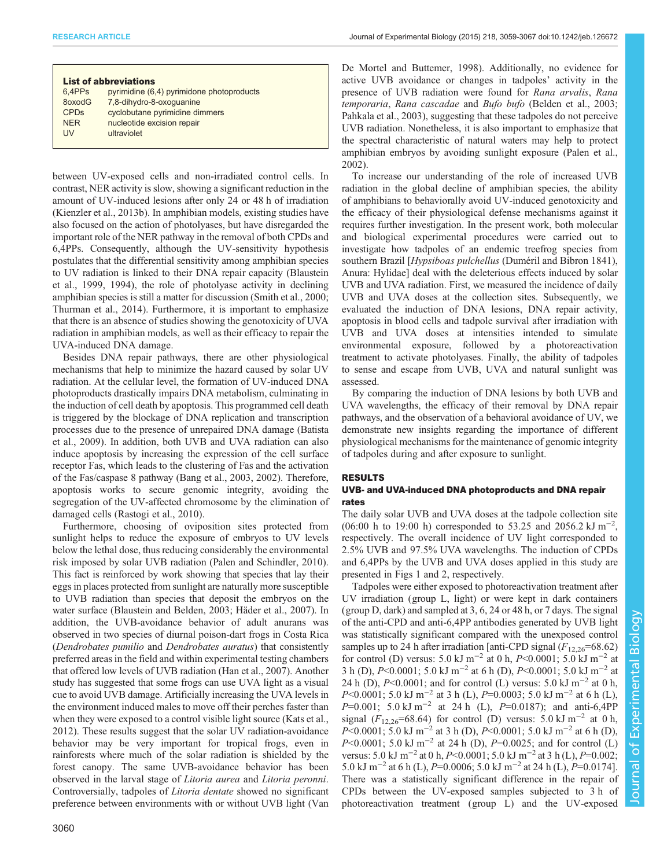| <b>List of abbreviations</b> |                                           |
|------------------------------|-------------------------------------------|
| 6.4PPs                       | pyrimidine (6,4) pyrimidone photoproducts |
| 8oxodG                       | 7,8-dihydro-8-oxoguanine                  |
| <b>CPD<sub>s</sub></b>       | cyclobutane pyrimidine dimmers            |
| <b>NFR</b>                   | nucleotide excision repair                |
| UV                           | ultraviolet                               |
|                              |                                           |

between UV-exposed cells and non-irradiated control cells. In contrast, NER activity is slow, showing a significant reduction in the amount of UV-induced lesions after only 24 or 48 h of irradiation [\(Kienzler et al., 2013b\)](#page-7-0). In amphibian models, existing studies have also focused on the action of photolyases, but have disregarded the important role of the NER pathway in the removal of both CPDs and 6,4PPs. Consequently, although the UV-sensitivity hypothesis postulates that the differential sensitivity among amphibian species to UV radiation is linked to their DNA repair capacity ([Blaustein](#page-7-0) [et al., 1999, 1994\)](#page-7-0), the role of photolyase activity in declining amphibian species is still a matter for discussion ([Smith et al., 2000](#page-8-0); [Thurman et al., 2014](#page-8-0)). Furthermore, it is important to emphasize that there is an absence of studies showing the genotoxicity of UVA radiation in amphibian models, as well as their efficacy to repair the UVA-induced DNA damage.

Besides DNA repair pathways, there are other physiological mechanisms that help to minimize the hazard caused by solar UV radiation. At the cellular level, the formation of UV-induced DNA photoproducts drastically impairs DNA metabolism, culminating in the induction of cell death by apoptosis. This programmed cell death is triggered by the blockage of DNA replication and transcription processes due to the presence of unrepaired DNA damage [\(Batista](#page-7-0) [et al., 2009\)](#page-7-0). In addition, both UVB and UVA radiation can also induce apoptosis by increasing the expression of the cell surface receptor Fas, which leads to the clustering of Fas and the activation of the Fas/caspase 8 pathway ([Bang et al., 2003, 2002\)](#page-7-0). Therefore, apoptosis works to secure genomic integrity, avoiding the segregation of the UV-affected chromosome by the elimination of damaged cells ([Rastogi et al., 2010\)](#page-7-0).

Furthermore, choosing of oviposition sites protected from sunlight helps to reduce the exposure of embryos to UV levels below the lethal dose, thus reducing considerably the environmental risk imposed by solar UVB radiation [\(Palen and Schindler, 2010\)](#page-7-0). This fact is reinforced by work showing that species that lay their eggs in places protected from sunlight are naturally more susceptible to UVB radiation than species that deposit the embryos on the water surface [\(Blaustein and Belden, 2003; Häder et al., 2007\)](#page-7-0). In addition, the UVB-avoidance behavior of adult anurans was observed in two species of diurnal poison-dart frogs in Costa Rica (Dendrobates pumilio and Dendrobates auratus) that consistently preferred areas in the field and within experimental testing chambers that offered low levels of UVB radiation ([Han et al., 2007\)](#page-7-0). Another study has suggested that some frogs can use UVA light as a visual cue to avoid UVB damage. Artificially increasing the UVA levels in the environment induced males to move off their perches faster than when they were exposed to a control visible light source ([Kats et al.,](#page-7-0) [2012](#page-7-0)). These results suggest that the solar UV radiation-avoidance behavior may be very important for tropical frogs, even in rainforests where much of the solar radiation is shielded by the forest canopy. The same UVB-avoidance behavior has been observed in the larval stage of Litoria aurea and Litoria peronni. Controversially, tadpoles of Litoria dentate showed no significant preference between environments with or without UVB light [\(Van](#page-8-0)

[De Mortel and Buttemer, 1998\)](#page-8-0). Additionally, no evidence for active UVB avoidance or changes in tadpoles' activity in the presence of UVB radiation were found for Rana arvalis, Rana temporaria, Rana cascadae and Bufo bufo ([Belden et al., 2003](#page-7-0); [Pahkala et al., 2003](#page-7-0)), suggesting that these tadpoles do not perceive UVB radiation. Nonetheless, it is also important to emphasize that the spectral characteristic of natural waters may help to protect amphibian embryos by avoiding sunlight exposure [\(Palen et al.,](#page-7-0) [2002\)](#page-7-0).

To increase our understanding of the role of increased UVB radiation in the global decline of amphibian species, the ability of amphibians to behaviorally avoid UV-induced genotoxicity and the efficacy of their physiological defense mechanisms against it requires further investigation. In the present work, both molecular and biological experimental procedures were carried out to investigate how tadpoles of an endemic treefrog species from southern Brazil [Hypsiboas pulchellus (Duméril and Bibron 1841), Anura: Hylidae] deal with the deleterious effects induced by solar UVB and UVA radiation. First, we measured the incidence of daily UVB and UVA doses at the collection sites. Subsequently, we evaluated the induction of DNA lesions, DNA repair activity, apoptosis in blood cells and tadpole survival after irradiation with UVB and UVA doses at intensities intended to simulate environmental exposure, followed by a photoreactivation treatment to activate photolyases. Finally, the ability of tadpoles to sense and escape from UVB, UVA and natural sunlight was assessed.

By comparing the induction of DNA lesions by both UVB and UVA wavelengths, the efficacy of their removal by DNA repair pathways, and the observation of a behavioral avoidance of UV, we demonstrate new insights regarding the importance of different physiological mechanisms for the maintenance of genomic integrity of tadpoles during and after exposure to sunlight.

## RESULTS

## UVB- and UVA-induced DNA photoproducts and DNA repair rates

The daily solar UVB and UVA doses at the tadpole collection site (06:00 h to 19:00 h) corresponded to 53.25 and 2056.2 kJ m−<sup>2</sup> , respectively. The overall incidence of UV light corresponded to 2.5% UVB and 97.5% UVA wavelengths. The induction of CPDs and 6,4PPs by the UVB and UVA doses applied in this study are presented in [Figs 1](#page-2-0) and [2,](#page-2-0) respectively.

Tadpoles were either exposed to photoreactivation treatment after UV irradiation (group L, light) or were kept in dark containers (group D, dark) and sampled at 3, 6, 24 or 48 h, or 7 days. The signal of the anti-CPD and anti-6,4PP antibodies generated by UVB light was statistically significant compared with the unexposed control samples up to 24 h after irradiation [anti-CPD signal  $(F_{12,26}=68.62)$ ] for control (D) versus: 5.0 kJ m<sup>-2</sup> at 0 h, P<0.0001; 5.0 kJ m<sup>-2</sup> at 3 h (D), P<0.0001; 5.0 kJ m<sup>-2</sup> at 6 h (D), P<0.0001; 5.0 kJ m<sup>-2</sup> at 24 h (D),  $P \le 0.0001$ ; and for control (L) versus: 5.0 kJ m<sup>-2</sup> at 0 h, P<0.0001; 5.0 kJ m<sup>-2</sup> at 3 h (L), P=0.0003; 5.0 kJ m<sup>-2</sup> at 6 h (L), P=0.001; 5.0 kJ m<sup>-2</sup> at 24 h (L), P=0.0187); and anti-6,4PP signal ( $F_{12,26}$ =68.64) for control (D) versus: 5.0 kJ m<sup>-2</sup> at 0 h, P<0.0001; 5.0 kJ m<sup>-2</sup> at 3 h (D), P<0.0001; 5.0 kJ m<sup>-2</sup> at 6 h (D), P<0.0001; 5.0 kJ m<sup>-2</sup> at 24 h (D), P=0.0025; and for control (L) versus:  $5.0 \text{ kJ m}^{-2}$  at  $0 \text{ h}, P \le 0.0001$ ;  $5.0 \text{ kJ m}^{-2}$  at  $3 \text{ h}$  (L),  $P = 0.002$ ; 5.0 kJ m<sup>-2</sup> at 6 h (L), P=0.0006; 5.0 kJ m<sup>-2</sup> at 24 h (L), P=0.0174]. There was a statistically significant difference in the repair of CPDs between the UV-exposed samples subjected to 3 h of photoreactivation treatment (group L) and the UV-exposed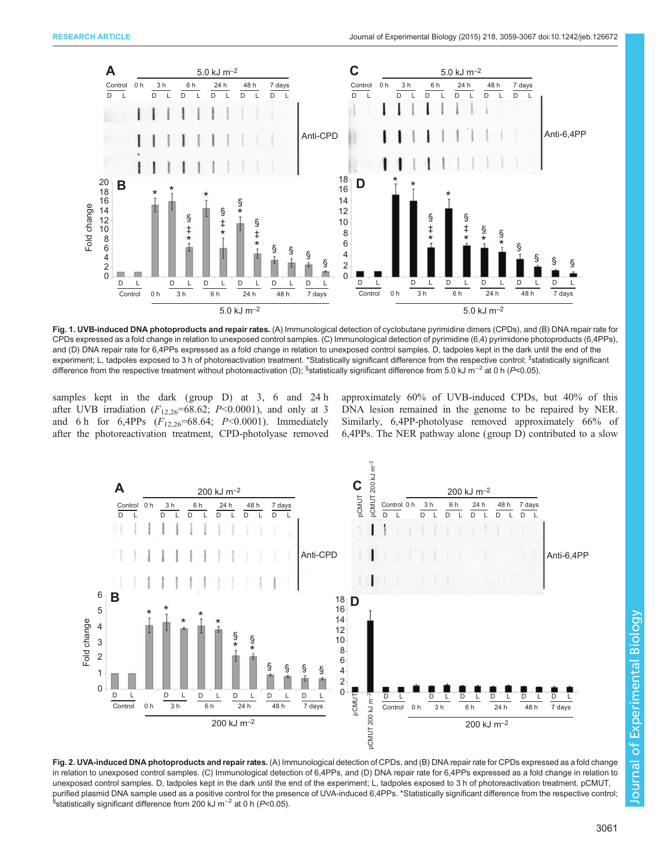<span id="page-2-0"></span>

Fig. 1. UVB-induced DNA photoproducts and repair rates. (A) Immunological detection of cyclobutane pyrimidine dimers (CPDs), and (B) DNA repair rate for CPDs expressed as a fold change in relation to unexposed control samples. (C) Immunological detection of pyrimidine (6,4) pyrimidone photoproducts (6,4PPs), and (D) DNA repair rate for 6,4PPs expressed as a fold change in relation to unexposed control samples. D, tadpoles kept in the dark until the end of the experiment; L, tadpoles exposed to 3 h of photoreactivation treatment. \*Statistically significant difference from the respective control; <sup>‡</sup>statistically significant difference from the respective treatment without photoreactivation (D); <sup>§</sup>statistically significant difference from 5.0 kJ m<sup>-2</sup> at 0 h (P<0.05).

samples kept in the dark (group D) at 3, 6 and 24 h after UVB irradiation ( $F_{12,26}$ =68.62; P<0.0001), and only at 3 and 6 h for 6,4PPs  $(F_{12,26} = 68.64; P < 0.0001)$ . Immediately after the photoreactivation treatment, CPD-photolyase removed approximately 60% of UVB-induced CPDs, but 40% of this DNA lesion remained in the genome to be repaired by NER. Similarly, 6,4PP-photolyase removed approximately 66% of 6,4PPs. The NER pathway alone (group D) contributed to a slow



Fig. 2. UVA-induced DNA photoproducts and repair rates. (A) Immunological detection of CPDs, and (B) DNA repair rate for CPDs expressed as a fold change in relation to unexposed control samples. (C) Immunological detection of 6,4PPs, and (D) DNA repair rate for 6,4PPs expressed as a fold change in relation to unexposed control samples. D, tadpoles kept in the dark until the end of the experiment; L, tadpoles exposed to 3 h of photoreactivation treatment. pCMUT, purified plasmid DNA sample used as a positive control for the presence of UVA-induced 6,4PPs. \*Statistically significant difference from the respective control;  $\frac{\text{S}_{\text{statistically significant difference from 200 kJ m}^{-2}}{\text{at 0 h (}}$  P<0.05).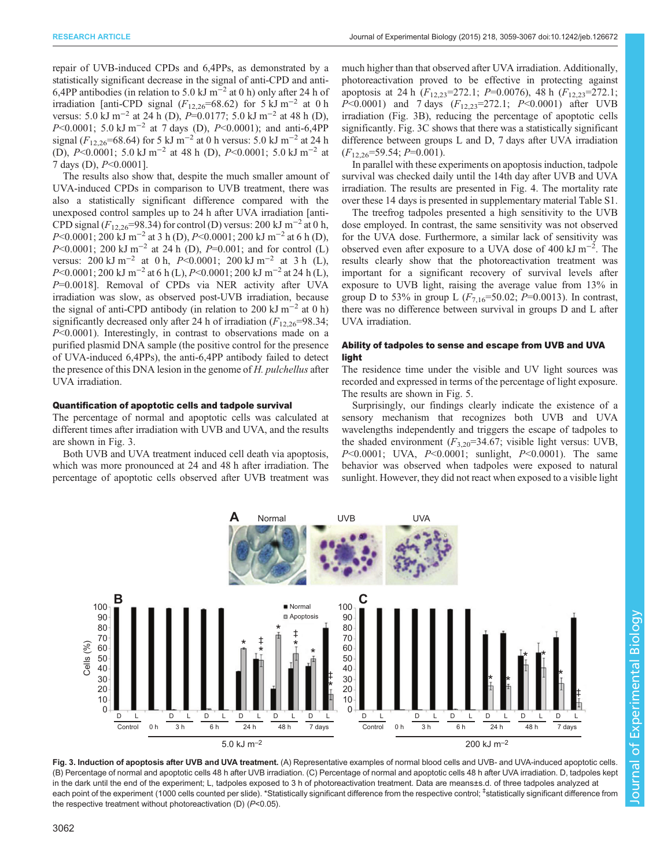<span id="page-3-0"></span>repair of UVB-induced CPDs and 6,4PPs, as demonstrated by a statistically significant decrease in the signal of anti-CPD and anti-6,4PP antibodies (in relation to 5.0 kJ m<sup>-2</sup> at 0 h) only after 24 h of irradiation [anti-CPD signal ( $F_{12,26}$ =68.62) for 5 kJ m<sup>-2</sup> at 0 h versus: 5.0 kJ m−<sup>2</sup> at 24 h (D), P=0.0177; 5.0 kJ m−<sup>2</sup> at 48 h (D), P<0.0001; 5.0 kJ m<sup>-2</sup> at 7 days (D), P<0.0001); and anti-6,4PP signal ( $F_{12,26}$ =68.64) for 5 kJ m<sup>-2</sup> at 0 h versus: 5.0 kJ m<sup>-2</sup> at 24 h (D), P<0.0001; 5.0 kJ m−<sup>2</sup> at 48 h (D), P<0.0001; 5.0 kJ m−<sup>2</sup> at 7 days (D), P<0.0001].

The results also show that, despite the much smaller amount of UVA-induced CPDs in comparison to UVB treatment, there was also a statistically significant difference compared with the unexposed control samples up to 24 h after UVA irradiation [anti-CPD signal ( $F_{12,26}$ =98.34) for control (D) versus: 200 kJ m<sup>-2</sup> at 0 h, P<0.0001; 200 kJ m<sup>-2</sup> at 3 h (D), P<0.0001; 200 kJ m<sup>-2</sup> at 6 h (D), P<0.0001; 200 kJ m<sup>-2</sup> at 24 h (D), P=0.001; and for control (L) versus: 200 kJ m<sup>-2</sup> at 0 h, P<0.0001; 200 kJ m<sup>-2</sup> at 3 h (L), P<0.0001; 200 kJ m<sup>-2</sup> at 6 h (L), P<0.0001; 200 kJ m<sup>-2</sup> at 24 h (L),  $P=0.0018$ ]. Removal of CPDs via NER activity after UVA irradiation was slow, as observed post-UVB irradiation, because the signal of anti-CPD antibody (in relation to 200 kJ m<sup>-2</sup> at 0 h) significantly decreased only after 24 h of irradiation  $(F_{12,26}=98.34;$ P<0.0001). Interestingly, in contrast to observations made on a purified plasmid DNA sample (the positive control for the presence of UVA-induced 6,4PPs), the anti-6,4PP antibody failed to detect the presence of this DNA lesion in the genome of H. pulchellus after UVA irradiation.

#### Quantification of apoptotic cells and tadpole survival

The percentage of normal and apoptotic cells was calculated at different times after irradiation with UVB and UVA, and the results are shown in Fig. 3.

Both UVB and UVA treatment induced cell death via apoptosis, which was more pronounced at 24 and 48 h after irradiation. The percentage of apoptotic cells observed after UVB treatment was much higher than that observed after UVA irradiation. Additionally, photoreactivation proved to be effective in protecting against apoptosis at 24 h  $(F_{12,23}=272.1; P=0.0076)$ , 48 h  $(F_{12,23}=272.1;$  $P \le 0.0001$ ) and 7 days  $(F_{12,23}=272.1; P \le 0.0001)$  after UVB irradiation (Fig. 3B), reducing the percentage of apoptotic cells significantly. Fig. 3C shows that there was a statistically significant difference between groups L and D, 7 days after UVA irradiation  $(F_{12,26} = 59.54; P = 0.001)$ .

In parallel with these experiments on apoptosis induction, tadpole survival was checked daily until the 14th day after UVB and UVA irradiation. The results are presented in [Fig. 4](#page-4-0). The mortality rate over these 14 days is presented in [supplementary material Table S1.](http://jeb.biologists.org/lookup/suppl/doi:10.1242/jeb.126672/-/DC1)

The treefrog tadpoles presented a high sensitivity to the UVB dose employed. In contrast, the same sensitivity was not observed for the UVA dose. Furthermore, a similar lack of sensitivity was observed even after exposure to a UVA dose of 400 kJ m<sup>-2</sup>. The results clearly show that the photoreactivation treatment was important for a significant recovery of survival levels after exposure to UVB light, raising the average value from 13% in group D to 53% in group L  $(F_{7,16}=50.02; P=0.0013)$ . In contrast, there was no difference between survival in groups D and L after UVA irradiation.

## Ability of tadpoles to sense and escape from UVB and UVA light

The residence time under the visible and UV light sources was recorded and expressed in terms of the percentage of light exposure. The results are shown in [Fig. 5.](#page-4-0)

Surprisingly, our findings clearly indicate the existence of a sensory mechanism that recognizes both UVB and UVA wavelengths independently and triggers the escape of tadpoles to the shaded environment  $(F_{3,20}=34.67)$ ; visible light versus: UVB, P<0.0001; UVA, P<0.0001; sunlight, P<0.0001). The same behavior was observed when tadpoles were exposed to natural sunlight. However, they did not react when exposed to a visible light



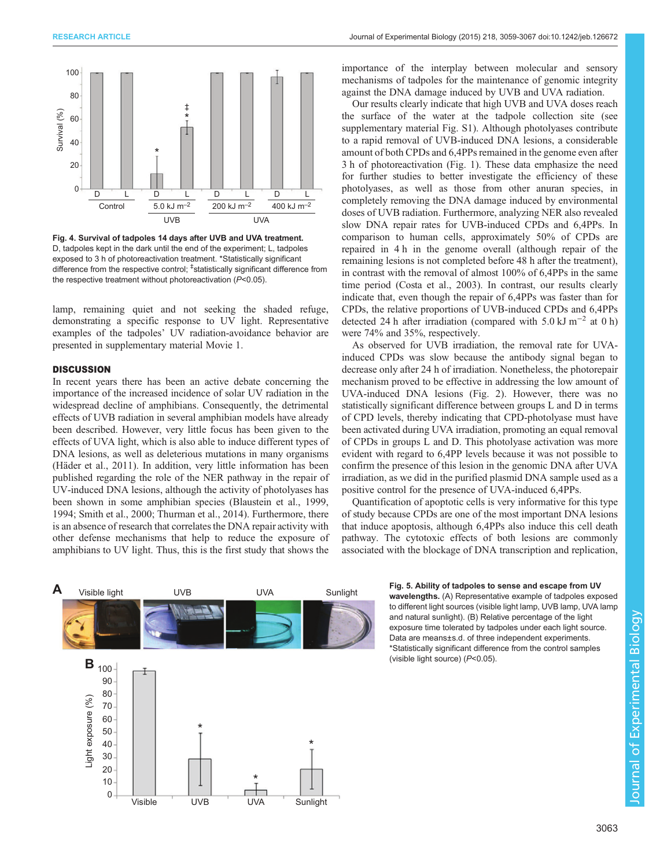<span id="page-4-0"></span>

Fig. 4. Survival of tadpoles 14 days after UVB and UVA treatment. D, tadpoles kept in the dark until the end of the experiment; L, tadpoles exposed to 3 h of photoreactivation treatment. \*Statistically significant difference from the respective control; <sup>‡</sup>statistically significant difference from the respective treatment without photoreactivation (P<0.05).

lamp, remaining quiet and not seeking the shaded refuge, demonstrating a specific response to UV light. Representative examples of the tadpoles' UV radiation-avoidance behavior are presented in [supplementary material Movie 1.](http://jeb.biologists.org/lookup/suppl/doi:10.1242/jeb.126672/-/DC1)

#### **DISCUSSION**

In recent years there has been an active debate concerning the importance of the increased incidence of solar UV radiation in the widespread decline of amphibians. Consequently, the detrimental effects of UVB radiation in several amphibian models have already been described. However, very little focus has been given to the effects of UVA light, which is also able to induce different types of DNA lesions, as well as deleterious mutations in many organisms [\(Häder et al., 2011](#page-7-0)). In addition, very little information has been published regarding the role of the NER pathway in the repair of UV-induced DNA lesions, although the activity of photolyases has been shown in some amphibian species ([Blaustein et al., 1999,](#page-7-0) [1994](#page-7-0); [Smith et al., 2000; Thurman et al., 2014](#page-8-0)). Furthermore, there is an absence of research that correlates the DNA repair activity with other defense mechanisms that help to reduce the exposure of amphibians to UV light. Thus, this is the first study that shows the

importance of the interplay between molecular and sensory mechanisms of tadpoles for the maintenance of genomic integrity against the DNA damage induced by UVB and UVA radiation.

Our results clearly indicate that high UVB and UVA doses reach the surface of the water at the tadpole collection site (see [supplementary material Fig. S1\)](http://jeb.biologists.org/lookup/suppl/doi:10.1242/jeb.126672/-/DC1). Although photolyases contribute to a rapid removal of UVB-induced DNA lesions, a considerable amount of both CPDs and 6,4PPs remained in the genome even after 3 h of photoreactivation ([Fig. 1\)](#page-2-0). These data emphasize the need for further studies to better investigate the efficiency of these photolyases, as well as those from other anuran species, in completely removing the DNA damage induced by environmental doses of UVB radiation. Furthermore, analyzing NER also revealed slow DNA repair rates for UVB-induced CPDs and 6,4PPs. In comparison to human cells, approximately 50% of CPDs are repaired in 4 h in the genome overall (although repair of the remaining lesions is not completed before 48 h after the treatment), in contrast with the removal of almost 100% of 6,4PPs in the same time period [\(Costa et al., 2003](#page-7-0)). In contrast, our results clearly indicate that, even though the repair of 6,4PPs was faster than for CPDs, the relative proportions of UVB-induced CPDs and 6,4PPs detected 24 h after irradiation (compared with 5.0 kJ m<sup>-2</sup> at 0 h) were 74% and 35%, respectively.

As observed for UVB irradiation, the removal rate for UVAinduced CPDs was slow because the antibody signal began to decrease only after 24 h of irradiation. Nonetheless, the photorepair mechanism proved to be effective in addressing the low amount of UVA-induced DNA lesions ([Fig. 2](#page-2-0)). However, there was no statistically significant difference between groups L and D in terms of CPD levels, thereby indicating that CPD-photolyase must have been activated during UVA irradiation, promoting an equal removal of CPDs in groups L and D. This photolyase activation was more evident with regard to 6,4PP levels because it was not possible to confirm the presence of this lesion in the genomic DNA after UVA irradiation, as we did in the purified plasmid DNA sample used as a positive control for the presence of UVA-induced 6,4PPs.

Quantification of apoptotic cells is very informative for this type of study because CPDs are one of the most important DNA lesions that induce apoptosis, although 6,4PPs also induce this cell death pathway. The cytotoxic effects of both lesions are commonly associated with the blockage of DNA transcription and replication,

(visible light source) (P<0.05).



## wavelengths. (A) Representative example of tadpoles exposed to different light sources (visible light lamp, UVB lamp, UVA lamp and natural sunlight). (B) Relative percentage of the light exposure time tolerated by tadpoles under each light source. Data are means±s.d. of three independent experiments. \*Statistically significant difference from the control samples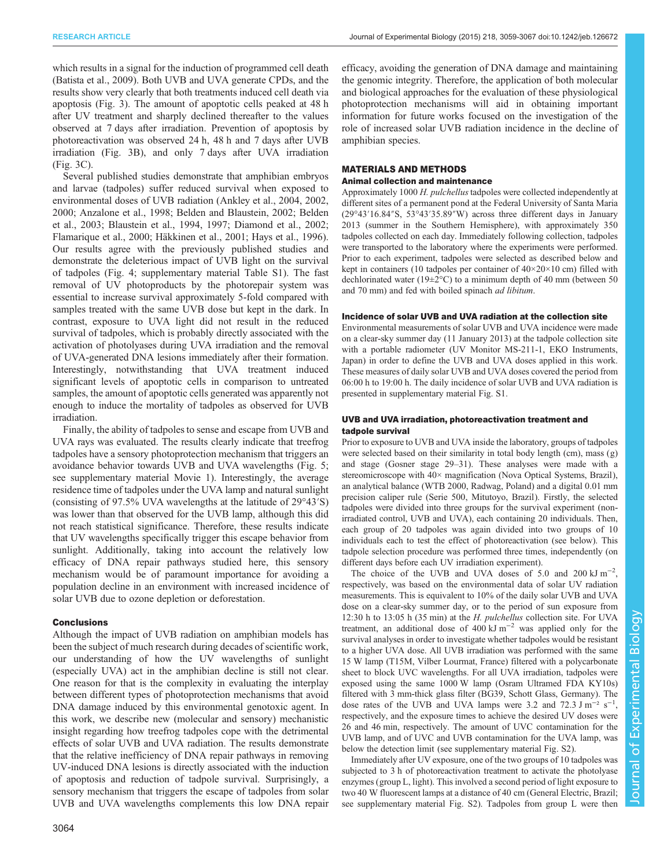which results in a signal for the induction of programmed cell death [\(Batista et al., 2009](#page-7-0)). Both UVB and UVA generate CPDs, and the results show very clearly that both treatments induced cell death via apoptosis [\(Fig. 3](#page-3-0)). The amount of apoptotic cells peaked at 48 h after UV treatment and sharply declined thereafter to the values observed at 7 days after irradiation. Prevention of apoptosis by photoreactivation was observed 24 h, 48 h and 7 days after UVB irradiation ([Fig. 3B](#page-3-0)), and only 7 days after UVA irradiation [\(Fig. 3](#page-3-0)C).

Several published studies demonstrate that amphibian embryos and larvae (tadpoles) suffer reduced survival when exposed to environmental doses of UVB radiation ([Ankley et al., 2004](#page-7-0), [2002,](#page-7-0) [2000](#page-7-0); [Anzalone et al., 1998](#page-7-0); [Belden and Blaustein, 2002; Belden](#page-7-0) [et al., 2003; Blaustein et al., 1994, 1997; Diamond et al., 2002](#page-7-0); [Flamarique et al., 2000; Häkkinen et al., 2001](#page-7-0); [Hays et al., 1996\)](#page-7-0). Our results agree with the previously published studies and demonstrate the deleterious impact of UVB light on the survival of tadpoles ([Fig. 4](#page-4-0); [supplementary material Table S1](http://jeb.biologists.org/lookup/suppl/doi:10.1242/jeb.126672/-/DC1)). The fast removal of UV photoproducts by the photorepair system was essential to increase survival approximately 5-fold compared with samples treated with the same UVB dose but kept in the dark. In contrast, exposure to UVA light did not result in the reduced survival of tadpoles, which is probably directly associated with the activation of photolyases during UVA irradiation and the removal of UVA-generated DNA lesions immediately after their formation. Interestingly, notwithstanding that UVA treatment induced significant levels of apoptotic cells in comparison to untreated samples, the amount of apoptotic cells generated was apparently not enough to induce the mortality of tadpoles as observed for UVB irradiation.

Finally, the ability of tadpoles to sense and escape from UVB and UVA rays was evaluated. The results clearly indicate that treefrog tadpoles have a sensory photoprotection mechanism that triggers an avoidance behavior towards UVB and UVA wavelengths [\(Fig. 5](#page-4-0); see [supplementary material Movie 1](http://jeb.biologists.org/lookup/suppl/doi:10.1242/jeb.126672/-/DC1)). Interestingly, the average residence time of tadpoles under the UVA lamp and natural sunlight (consisting of 97.5% UVA wavelengths at the latitude of 29°43′S) was lower than that observed for the UVB lamp, although this did not reach statistical significance. Therefore, these results indicate that UV wavelengths specifically trigger this escape behavior from sunlight. Additionally, taking into account the relatively low efficacy of DNA repair pathways studied here, this sensory mechanism would be of paramount importance for avoiding a population decline in an environment with increased incidence of solar UVB due to ozone depletion or deforestation.

## Conclusions

Although the impact of UVB radiation on amphibian models has been the subject of much research during decades of scientific work, our understanding of how the UV wavelengths of sunlight (especially UVA) act in the amphibian decline is still not clear. One reason for that is the complexity in evaluating the interplay between different types of photoprotection mechanisms that avoid DNA damage induced by this environmental genotoxic agent. In this work, we describe new (molecular and sensory) mechanistic insight regarding how treefrog tadpoles cope with the detrimental effects of solar UVB and UVA radiation. The results demonstrate that the relative inefficiency of DNA repair pathways in removing UV-induced DNA lesions is directly associated with the induction of apoptosis and reduction of tadpole survival. Surprisingly, a sensory mechanism that triggers the escape of tadpoles from solar UVB and UVA wavelengths complements this low DNA repair efficacy, avoiding the generation of DNA damage and maintaining the genomic integrity. Therefore, the application of both molecular and biological approaches for the evaluation of these physiological photoprotection mechanisms will aid in obtaining important information for future works focused on the investigation of the role of increased solar UVB radiation incidence in the decline of amphibian species.

# MATERIALS AND METHODS

## Animal collection and maintenance

Approximately 1000 H. pulchellus tadpoles were collected independently at different sites of a permanent pond at the Federal University of Santa Maria (29°43′16.84″S, 53°43′35.89″W) across three different days in January 2013 (summer in the Southern Hemisphere), with approximately 350 tadpoles collected on each day. Immediately following collection, tadpoles were transported to the laboratory where the experiments were performed. Prior to each experiment, tadpoles were selected as described below and kept in containers (10 tadpoles per container of  $40 \times 20 \times 10$  cm) filled with dechlorinated water (19 $\pm$ 2°C) to a minimum depth of 40 mm (between 50 and 70 mm) and fed with boiled spinach ad libitum.

#### Incidence of solar UVB and UVA radiation at the collection site

Environmental measurements of solar UVB and UVA incidence were made on a clear-sky summer day (11 January 2013) at the tadpole collection site with a portable radiometer (UV Monitor MS-211-1, EKO Instruments, Japan) in order to define the UVB and UVA doses applied in this work. These measures of daily solar UVB and UVA doses covered the period from 06:00 h to 19:00 h. The daily incidence of solar UVB and UVA radiation is presented in [supplementary material Fig. S1.](http://jeb.biologists.org/lookup/suppl/doi:10.1242/jeb.126672/-/DC1)

## UVB and UVA irradiation, photoreactivation treatment and tadpole survival

Prior to exposure to UVB and UVA inside the laboratory, groups of tadpoles were selected based on their similarity in total body length (cm), mass (g) and stage (Gosner stage 29–31). These analyses were made with a stereomicroscope with  $40 \times$  magnification (Nova Optical Systems, Brazil), an analytical balance (WTB 2000, Radwag, Poland) and a digital 0.01 mm precision caliper rule (Serie 500, Mitutoyo, Brazil). Firstly, the selected tadpoles were divided into three groups for the survival experiment (nonirradiated control, UVB and UVA), each containing 20 individuals. Then, each group of 20 tadpoles was again divided into two groups of 10 individuals each to test the effect of photoreactivation (see below). This tadpole selection procedure was performed three times, independently (on different days before each UV irradiation experiment).

The choice of the UVB and UVA doses of 5.0 and 200 kJ m<sup>-2</sup>, respectively, was based on the environmental data of solar UV radiation measurements. This is equivalent to 10% of the daily solar UVB and UVA dose on a clear-sky summer day, or to the period of sun exposure from 12:30 h to 13:05 h (35 min) at the H. pulchellus collection site. For UVA treatment, an additional dose of 400 kJ m<sup>-2</sup> was applied only for the survival analyses in order to investigate whether tadpoles would be resistant to a higher UVA dose. All UVB irradiation was performed with the same 15 W lamp (T15M, Vilber Lourmat, France) filtered with a polycarbonate sheet to block UVC wavelengths. For all UVA irradiation, tadpoles were exposed using the same 1000 W lamp (Osram Ultramed FDA KY10s) filtered with 3 mm-thick glass filter (BG39, Schott Glass, Germany). The dose rates of the UVB and UVA lamps were 3.2 and 72.3 J m<sup>-2</sup> s<sup>-1</sup>, respectively, and the exposure times to achieve the desired UV doses were 26 and 46 min, respectively. The amount of UVC contamination for the UVB lamp, and of UVC and UVB contamination for the UVA lamp, was below the detection limit (see [supplementary material Fig. S2](http://jeb.biologists.org/lookup/suppl/doi:10.1242/jeb.126672/-/DC1)).

Immediately after UV exposure, one of the two groups of 10 tadpoles was subjected to 3 h of photoreactivation treatment to activate the photolyase enzymes (group L, light). This involved a second period of light exposure to two 40 W fluorescent lamps at a distance of 40 cm (General Electric, Brazil; see [supplementary material Fig. S2\)](http://jeb.biologists.org/lookup/suppl/doi:10.1242/jeb.126672/-/DC1). Tadpoles from group L were then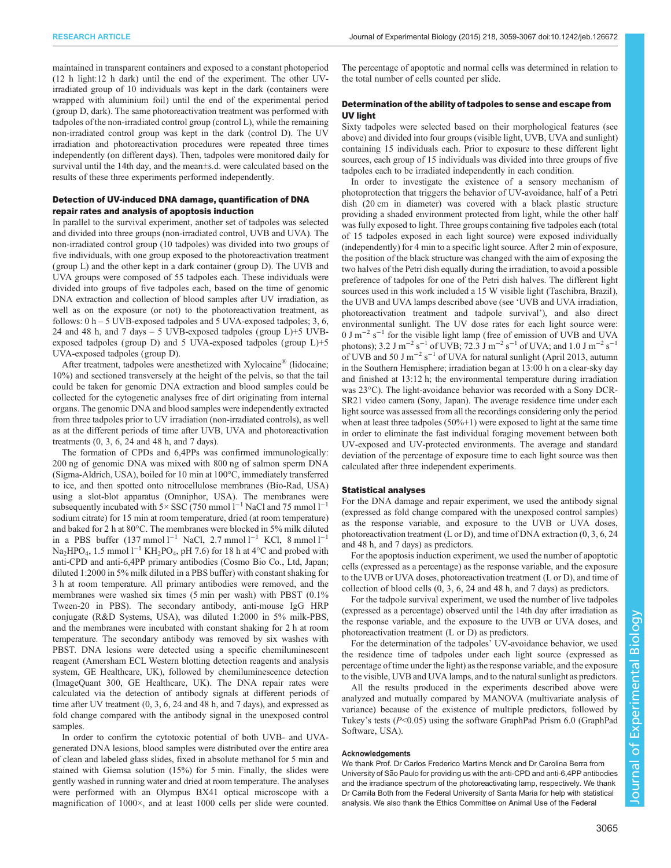maintained in transparent containers and exposed to a constant photoperiod (12 h light:12 h dark) until the end of the experiment. The other UVirradiated group of 10 individuals was kept in the dark (containers were wrapped with aluminium foil) until the end of the experimental period (group D, dark). The same photoreactivation treatment was performed with tadpoles of the non-irradiated control group (control L), while the remaining non-irradiated control group was kept in the dark (control D). The UV irradiation and photoreactivation procedures were repeated three times independently (on different days). Then, tadpoles were monitored daily for survival until the 14th day, and the mean±s.d. were calculated based on the results of these three experiments performed independently.

#### Detection of UV-induced DNA damage, quantification of DNA repair rates and analysis of apoptosis induction

In parallel to the survival experiment, another set of tadpoles was selected and divided into three groups (non-irradiated control, UVB and UVA). The non-irradiated control group (10 tadpoles) was divided into two groups of five individuals, with one group exposed to the photoreactivation treatment (group L) and the other kept in a dark container (group D). The UVB and UVA groups were composed of 55 tadpoles each. These individuals were divided into groups of five tadpoles each, based on the time of genomic DNA extraction and collection of blood samples after UV irradiation, as well as on the exposure (or not) to the photoreactivation treatment, as follows:  $0 h - 5 UVB$ -exposed tadpoles and  $5 UVA$ -exposed tadpoles;  $3, 6$ , 24 and 48 h, and 7 days – 5 UVB-exposed tadpoles (group L)+5 UVBexposed tadpoles (group D) and 5 UVA-exposed tadpoles (group L)+5 UVA-exposed tadpoles (group D).

After treatment, tadpoles were anesthetized with Xylocaine® (lidocaine; 10%) and sectioned transversely at the height of the pelvis, so that the tail could be taken for genomic DNA extraction and blood samples could be collected for the cytogenetic analyses free of dirt originating from internal organs. The genomic DNA and blood samples were independently extracted from three tadpoles prior to UV irradiation (non-irradiated controls), as well as at the different periods of time after UVB, UVA and photoreactivation treatments (0, 3, 6, 24 and 48 h, and 7 days).

The formation of CPDs and 6,4PPs was confirmed immunologically: 200 ng of genomic DNA was mixed with 800 ng of salmon sperm DNA (Sigma-Aldrich, USA), boiled for 10 min at 100°C, immediately transferred to ice, and then spotted onto nitrocellulose membranes (Bio-Rad, USA) using a slot-blot apparatus (Omniphor, USA). The membranes were subsequently incubated with 5× SSC (750 mmol  $l^{-1}$  NaCl and 75 mmol  $l^{-1}$ sodium citrate) for 15 min at room temperature, dried (at room temperature) and baked for 2 h at 80°C. The membranes were blocked in 5% milk diluted in a PBS buffer  $(137 \text{ mmol } 1^{-1} \text{ NaCl}, 2.7 \text{ mmol } 1^{-1} \text{ KCl}, 8 \text{ mmol } 1^{-1}$ Na<sub>2</sub>HPO<sub>4</sub>, 1.5 mmol l<sup>-1</sup> KH<sub>2</sub>PO<sub>4</sub>, pH 7.6) for 18 h at 4°C and probed with anti-CPD and anti-6,4PP primary antibodies (Cosmo Bio Co., Ltd, Japan; diluted 1:2000 in 5% milk diluted in a PBS buffer) with constant shaking for 3 h at room temperature. All primary antibodies were removed, and the membranes were washed six times (5 min per wash) with PBST (0.1% Tween-20 in PBS). The secondary antibody, anti-mouse IgG HRP conjugate (R&D Systems, USA), was diluted 1:2000 in 5% milk-PBS, and the membranes were incubated with constant shaking for 2 h at room temperature. The secondary antibody was removed by six washes with PBST. DNA lesions were detected using a specific chemiluminescent reagent (Amersham ECL Western blotting detection reagents and analysis system, GE Healthcare, UK), followed by chemiluminescence detection (ImageQuant 300, GE Healthcare, UK). The DNA repair rates were calculated via the detection of antibody signals at different periods of time after UV treatment (0, 3, 6, 24 and 48 h, and 7 days), and expressed as fold change compared with the antibody signal in the unexposed control samples.

In order to confirm the cytotoxic potential of both UVB- and UVAgenerated DNA lesions, blood samples were distributed over the entire area of clean and labeled glass slides, fixed in absolute methanol for 5 min and stained with Giemsa solution (15%) for 5 min. Finally, the slides were gently washed in running water and dried at room temperature. The analyses were performed with an Olympus BX41 optical microscope with a magnification of 1000×, and at least 1000 cells per slide were counted.

The percentage of apoptotic and normal cells was determined in relation to the total number of cells counted per slide.

## Determination of the ability of tadpoles to sense and escape from UV light

Sixty tadpoles were selected based on their morphological features (see above) and divided into four groups (visible light, UVB, UVA and sunlight) containing 15 individuals each. Prior to exposure to these different light sources, each group of 15 individuals was divided into three groups of five tadpoles each to be irradiated independently in each condition.

In order to investigate the existence of a sensory mechanism of photoprotection that triggers the behavior of UV-avoidance, half of a Petri dish (20 cm in diameter) was covered with a black plastic structure providing a shaded environment protected from light, while the other half was fully exposed to light. Three groups containing five tadpoles each (total of 15 tadpoles exposed in each light source) were exposed individually (independently) for 4 min to a specific light source. After 2 min of exposure, the position of the black structure was changed with the aim of exposing the two halves of the Petri dish equally during the irradiation, to avoid a possible preference of tadpoles for one of the Petri dish halves. The different light sources used in this work included a 15 W visible light (Taschibra, Brazil), the UVB and UVA lamps described above (see 'UVB and UVA irradiation, photoreactivation treatment and tadpole survival'), and also direct environmental sunlight. The UV dose rates for each light source were:  $0 \text{ J m}^{-2} \text{ s}^{-1}$  for the visible light lamp (free of emission of UVB and UVA photons); 3.2 J m<sup>-2</sup> s<sup>-1</sup> of UVB; 72.3 J m<sup>-2</sup> s<sup>-1</sup> of UVA; and 1.0 J m<sup>-2</sup> s<sup>-1</sup> of UVB and 50 J m<sup>-2</sup> s<sup>-1</sup> of UVA for natural sunlight (April 2013, autumn in the Southern Hemisphere; irradiation began at 13:00 h on a clear-sky day and finished at 13:12 h; the environmental temperature during irradiation was 23°C). The light-avoidance behavior was recorded with a Sony DCR-SR21 video camera (Sony, Japan). The average residence time under each light source was assessed from all the recordings considering only the period when at least three tadpoles  $(50\% + 1)$  were exposed to light at the same time in order to eliminate the fast individual foraging movement between both UV-exposed and UV-protected environments. The average and standard deviation of the percentage of exposure time to each light source was then calculated after three independent experiments.

#### Statistical analyses

For the DNA damage and repair experiment, we used the antibody signal (expressed as fold change compared with the unexposed control samples) as the response variable, and exposure to the UVB or UVA doses, photoreactivation treatment (L or D), and time of DNA extraction (0, 3, 6, 24 and 48 h, and 7 days) as predictors.

For the apoptosis induction experiment, we used the number of apoptotic cells (expressed as a percentage) as the response variable, and the exposure to the UVB or UVA doses, photoreactivation treatment (L or D), and time of collection of blood cells (0, 3, 6, 24 and 48 h, and 7 days) as predictors.

For the tadpole survival experiment, we used the number of live tadpoles (expressed as a percentage) observed until the 14th day after irradiation as the response variable, and the exposure to the UVB or UVA doses, and photoreactivation treatment (L or D) as predictors.

For the determination of the tadpoles' UV-avoidance behavior, we used the residence time of tadpoles under each light source (expressed as percentage of time under the light) as the response variable, and the exposure to the visible, UVB and UVA lamps, and to the natural sunlight as predictors.

All the results produced in the experiments described above were analyzed and mutually compared by MANOVA (multivariate analysis of variance) because of the existence of multiple predictors, followed by Tukey's tests (P<0.05) using the software GraphPad Prism 6.0 (GraphPad Software, USA).

#### **Acknowledgements**

We thank Prof. Dr Carlos Frederico Martins Menck and Dr Carolina Berra from University of São Paulo for providing us with the anti-CPD and anti-6,4PP antibodies and the irradiance spectrum of the photoreactivating lamp, respectively. We thank Dr Camila Both from the Federal University of Santa Maria for help with statistical analysis. We also thank the Ethics Committee on Animal Use of the Federal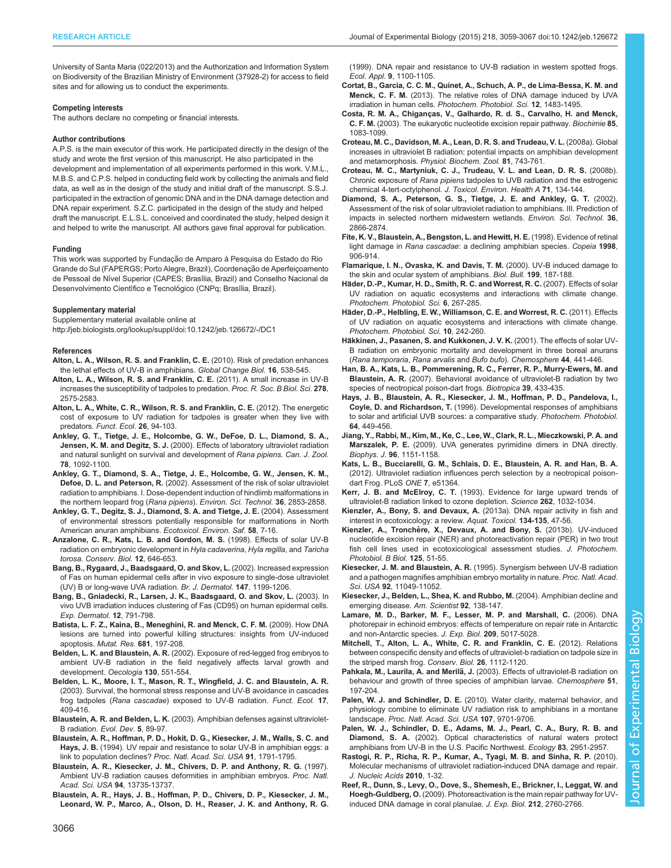<span id="page-7-0"></span>University of Santa Maria (022/2013) and the Authorization and Information System on Biodiversity of the Brazilian Ministry of Environment (37928-2) for access to field sites and for allowing us to conduct the experiments.

#### Competing interests

The authors declare no competing or financial interests.

#### Author contributions

A.P.S. is the main executor of this work. He participated directly in the design of the study and wrote the first version of this manuscript. He also participated in the development and implementation of all experiments performed in this work. V.M.L., M.B.S. and C.P.S. helped in conducting field work by collecting the animals and field data, as well as in the design of the study and initial draft of the manuscript. S.S.J. participated in the extraction of genomic DNA and in the DNA damage detection and DNA repair experiment. S.Z.C. participated in the design of the study and helped draft the manuscript. E.L.S.L. conceived and coordinated the study, helped design it and helped to write the manuscript. All authors gave final approval for publication.

#### Funding

This work was supported by Fundação de Amparo à Pesquisa do Estado do Rio Grande do Sul (FAPERGS; Porto Alegre, Brazil), Coordenação de Aperfeiçoamento de Pessoal de Nível Superior (CAPES; Brasília, Brazil) and Conselho Nacional de Desenvolvimento Científico e Tecnológico (CNPq; Brasília, Brazil).

#### Supplementary material

Supplementary material available online at

<http://jeb.biologists.org/lookup/suppl/doi:10.1242/jeb.126672/-/DC1>

#### References

- [Alton, L. A., Wilson, R. S. and Franklin, C. E.](http://dx.doi.org/10.1111/j.1365-2486.2009.02010.x) (2010). Risk of predation enhances [the lethal effects of UV-B in amphibians.](http://dx.doi.org/10.1111/j.1365-2486.2009.02010.x) Global Change Biol. 16, 538-545.
- [Alton, L. A., Wilson, R. S. and Franklin, C. E.](http://dx.doi.org/10.1098/rspb.2010.2368) (2011). A small increase in UV-B [increases the susceptibility of tadpoles to predation.](http://dx.doi.org/10.1098/rspb.2010.2368) Proc. R. Soc. B Biol. Sci. 278, [2575-2583.](http://dx.doi.org/10.1098/rspb.2010.2368)
- [Alton, L. A., White, C. R., Wilson, R. S. and Franklin, C. E.](http://dx.doi.org/10.1111/j.1365-2435.2011.01900.x) (2012). The energetic [cost of exposure to UV radiation for tadpoles is greater when they live with](http://dx.doi.org/10.1111/j.1365-2435.2011.01900.x) predators. [Funct. Ecol.](http://dx.doi.org/10.1111/j.1365-2435.2011.01900.x) 26, 94-103.
- [Ankley, G. T., Tietge, J. E., Holcombe, G. W., DeFoe, D. L., Diamond, S. A.,](http://dx.doi.org/10.1139/cjz-78-6-1092) Jensen, K. M. and Degitz, S. J. [\(2000\). Effects of laboratory ultraviolet radiation](http://dx.doi.org/10.1139/cjz-78-6-1092) [and natural sunlight on survival and development of](http://dx.doi.org/10.1139/cjz-78-6-1092) Rana pipiens. Can. J. Zool. 78[, 1092-1100.](http://dx.doi.org/10.1139/cjz-78-6-1092)
- [Ankley, G. T., Diamond, S. A., Tietge, J. E., Holcombe, G. W., Jensen, K. M.,](http://dx.doi.org/10.1021/es011195t) Defoe, D. L. and Peterson, R. [\(2002\). Assessment of the risk of solar ultraviolet](http://dx.doi.org/10.1021/es011195t) [radiation to amphibians. I. Dose-dependent induction of hindlimb malformations in](http://dx.doi.org/10.1021/es011195t) [the northern leopard frog \(](http://dx.doi.org/10.1021/es011195t)Rana pipiens). Environ. Sci. Technol. 36, 2853-2858.
- [Ankley, G. T., Degitz, S. J., Diamond, S. A. and Tietge, J. E.](http://dx.doi.org/10.1016/j.ecoenv.2004.01.004) (2004). Assessment [of environmental stressors potentially responsible for malformations in North](http://dx.doi.org/10.1016/j.ecoenv.2004.01.004) [American anuran amphibians.](http://dx.doi.org/10.1016/j.ecoenv.2004.01.004) Ecotoxicol. Environ. Saf. 58, 7-16.
- [Anzalone, C. R., Kats, L. B. and Gordon, M. S.](http://dx.doi.org/10.1046/j.1523-1739.1998.96478.x) (1998). Effects of solar UV-B [radiation on embryonic development in](http://dx.doi.org/10.1046/j.1523-1739.1998.96478.x) Hyla cadaverina, Hyla regilla, and Taricha torosa. [Conserv. Biol.](http://dx.doi.org/10.1046/j.1523-1739.1998.96478.x) 12, 646-653.
- [Bang, B., Rygaard, J., Baadsgaard, O. and Skov, L.](http://dx.doi.org/10.1046/j.1365-2133.2002.04787.x) (2002). Increased expression [of Fas on human epidermal cells after in vivo exposure to single-dose ultraviolet](http://dx.doi.org/10.1046/j.1365-2133.2002.04787.x) [\(UV\) B or long-wave UVA radiation.](http://dx.doi.org/10.1046/j.1365-2133.2002.04787.x) Br. J. Dermatol. 147, 1199-1206.
- [Bang, B., Gniadecki, R., Larsen, J. K., Baadsgaard, O. and Skov, L.](http://dx.doi.org/10.1111/j.0906-6705.2003.00091.x) (2003). In [vivo UVB irradiation induces clustering of Fas \(CD95\) on human epidermal cells.](http://dx.doi.org/10.1111/j.0906-6705.2003.00091.x) [Exp. Dermatol.](http://dx.doi.org/10.1111/j.0906-6705.2003.00091.x) 12, 791-798.
- [Batista, L. F. Z., Kaina, B., Meneghini, R. and Menck, C. F. M.](http://dx.doi.org/10.1016/j.mrrev.2008.09.001) (2009). How DNA [lesions are turned into powerful killing structures: insights from UV-induced](http://dx.doi.org/10.1016/j.mrrev.2008.09.001) apoptosis. [Mutat. Res.](http://dx.doi.org/10.1016/j.mrrev.2008.09.001) 681, 197-208.
- Belden, L. K. and Blaustein, A. R. [\(2002\). Exposure of red-legged frog embryos to](http://dx.doi.org/10.1007/s00442-001-0843-y) [ambient UV-B radiation in the field negatively affects larval growth and](http://dx.doi.org/10.1007/s00442-001-0843-y) [development.](http://dx.doi.org/10.1007/s00442-001-0843-y) Oecologia 130, 551-554
- [Belden, L. K., Moore, I. T., Mason, R. T., Wingfield, J. C. and Blaustein, A. R.](http://dx.doi.org/10.1046/j.1365-2435.2003.00746.x) [\(2003\). Survival, the hormonal stress response and UV-B avoidance in cascades](http://dx.doi.org/10.1046/j.1365-2435.2003.00746.x) frog tadpoles (Rana cascadae[\) exposed to UV-B radiation.](http://dx.doi.org/10.1046/j.1365-2435.2003.00746.x) Funct. Ecol. 17, [409-416.](http://dx.doi.org/10.1046/j.1365-2435.2003.00746.x)
- Blaustein, A. R. and Belden, L. K. [\(2003\). Amphibian defenses against ultraviolet-](http://dx.doi.org/10.1046/j.1525-142X.2003.03014.x)[B radiation.](http://dx.doi.org/10.1046/j.1525-142X.2003.03014.x) Evol. Dev. 5, 89-97.
- [Blaustein, A. R., Hoffman, P. D., Hokit, D. G., Kiesecker, J. M., Walls, S. C. and](http://dx.doi.org/10.1073/pnas.91.5.1791) Hays, J. B. [\(1994\). UV repair and resistance to solar UV-B in amphibian eggs: a](http://dx.doi.org/10.1073/pnas.91.5.1791) [link to population declines?](http://dx.doi.org/10.1073/pnas.91.5.1791) Proc. Natl. Acad. Sci. USA 91, 1791-1795.
- [Blaustein, A. R., Kiesecker, J. M., Chivers, D. P. and Anthony, R. G.](http://dx.doi.org/10.1073/pnas.94.25.13735) (1997). [Ambient UV-B radiation causes deformities in amphibian embryos.](http://dx.doi.org/10.1073/pnas.94.25.13735) Proc. Natl. [Acad. Sci. USA](http://dx.doi.org/10.1073/pnas.94.25.13735) 94, 13735-13737.
- [Blaustein, A. R., Hays, J. B., Hoffman, P. D., Chivers, D. P., Kiesecker, J. M.,](http://dx.doi.org/10.1890/1051-0761(1999)009[1100:DRARTU]2.0.CO;2) [Leonard, W. P., Marco, A., Olson, D. H., Reaser, J. K. and Anthony, R. G.](http://dx.doi.org/10.1890/1051-0761(1999)009[1100:DRARTU]2.0.CO;2)

[\(1999\). DNA repair and resistance to UV-B radiation in western spotted frogs.](http://dx.doi.org/10.1890/1051-0761(1999)009[1100:DRARTU]2.0.CO;2) Ecol. Appl. 9[, 1100-1105.](http://dx.doi.org/10.1890/1051-0761(1999)009[1100:DRARTU]2.0.CO;2)

- [Cortat, B., Garcia, C. C. M., Quinet, A., Schuch, A. P., de Lima-Bessa, K. M. and](http://dx.doi.org/10.1039/c3pp50023c) Menck, C. F. M. [\(2013\). The relative roles of DNA damage induced by UVA](http://dx.doi.org/10.1039/c3pp50023c) irradiation in human cells. [Photochem. Photobiol. Sci.](http://dx.doi.org/10.1039/c3pp50023c) 12, 1483-1495.
- [Costa, R. M. A., Chiganças, V., Galhardo, R. d. S., Carvalho, H. and Menck,](http://dx.doi.org/10.1016/j.biochi.2003.10.017) C. F. M. [\(2003\). The eukaryotic nucleotide excision repair pathway.](http://dx.doi.org/10.1016/j.biochi.2003.10.017) Biochimie 85, [1083-1099.](http://dx.doi.org/10.1016/j.biochi.2003.10.017)
- [Croteau, M. C., Davidson, M. A., Lean, D. R. S. and Trudeau, V. L.](http://dx.doi.org/10.1086/591949) (2008a). Global [increases in ultraviolet B radiation: potential impacts on amphibian development](http://dx.doi.org/10.1086/591949) and metamorphosis. [Physiol. Biochem. Zool.](http://dx.doi.org/10.1086/591949) 81, 743-761.
- [Croteau, M. C., Martyniuk, C. J., Trudeau, V. L. and Lean, D. R. S.](http://dx.doi.org/10.1080/15287390701613330) (2008b). Chronic exposure of Rana pipiens [tadpoles to UVB radiation and the estrogenic](http://dx.doi.org/10.1080/15287390701613330) chemical 4-tert-octylphenol. [J. Toxicol. Environ. Health A](http://dx.doi.org/10.1080/15287390701613330) 71, 134-144.
- [Diamond, S. A., Peterson, G. S., Tietge, J. E. and Ankley, G. T.](http://dx.doi.org/10.1021/es011197d) (2002). [Assessment of the risk of solar ultraviolet radiation to amphibians. III. Prediction of](http://dx.doi.org/10.1021/es011197d) [impacts in selected northern midwestern wetlands.](http://dx.doi.org/10.1021/es011197d) Environ. Sci. Technol. 36, [2866-2874.](http://dx.doi.org/10.1021/es011197d)
- [Fite, K. V., Blaustein, A., Bengston, L. and Hewitt, H. E.](http://dx.doi.org/10.2307/1447337) (1998). Evidence of retinal light damage in Rana cascadae[: a declining amphibian species.](http://dx.doi.org/10.2307/1447337) Copeia 1998, [906-914.](http://dx.doi.org/10.2307/1447337)
- [Flamarique, I. N., Ovaska, K. and Davis, T. M.](http://dx.doi.org/10.2307/1542889) (2000). UV-B induced damage to [the skin and ocular system of amphibians.](http://dx.doi.org/10.2307/1542889) Biol. Bull. 199, 187-188.
- Hä[der, D.-P., Kumar, H. D., Smith, R. C. and Worrest, R. C.](http://dx.doi.org/10.1039/b700020k) (2007). Effects of solar [UV radiation on aquatic ecosystems and interactions with climate change.](http://dx.doi.org/10.1039/b700020k) [Photochem. Photobiol. Sci.](http://dx.doi.org/10.1039/b700020k) 6, 267-285.
- Hä[der, D.-P., Helbling, E. W., Williamson, C. E. and Worrest, R. C.](http://dx.doi.org/10.1039/c0pp90036b) (2011). Effects [of UV radiation on aquatic ecosystems and interactions with climate change.](http://dx.doi.org/10.1039/c0pp90036b) [Photochem. Photobiol. Sci.](http://dx.doi.org/10.1039/c0pp90036b) 10, 242-260.
- Hä[kkinen, J., Pasanen, S. and Kukkonen, J. V. K.](http://dx.doi.org/10.1016/S0045-6535(00)00295-2) (2001). The effects of solar UV-[B radiation on embryonic mortality and development in three boreal anurans](http://dx.doi.org/10.1016/S0045-6535(00)00295-2) ([Rana temporaria](http://dx.doi.org/10.1016/S0045-6535(00)00295-2), Rana arvalis and Bufo bufo). Chemosphere 44, 441-446.
- [Han, B. A., Kats, L. B., Pommerening, R. C., Ferrer, R. P., Murry-Ewers, M. and](http://dx.doi.org/10.1111/j.1744-7429.2007.00268.x) Blaustein, A. R. [\(2007\). Behavioral avoidance of ultraviolet-B radiation by two](http://dx.doi.org/10.1111/j.1744-7429.2007.00268.x) [species of neotropical poison-dart frogs.](http://dx.doi.org/10.1111/j.1744-7429.2007.00268.x) Biotropica 39, 433-435.
- [Hays, J. B., Blaustein, A. R., Kiesecker, J. M., Hoffman, P. D., Pandelova, I.,](http://dx.doi.org/10.1111/j.1751-1097.1996.tb03090.x) Coyle, D. and Richardson, T. [\(1996\). Developmental responses of amphibians](http://dx.doi.org/10.1111/j.1751-1097.1996.tb03090.x) [to solar and artificial UVB sources: a comparative study.](http://dx.doi.org/10.1111/j.1751-1097.1996.tb03090.x) Photochem. Photobiol. 64[, 449-456.](http://dx.doi.org/10.1111/j.1751-1097.1996.tb03090.x)
- [Jiang, Y., Rabbi, M., Kim, M., Ke, C., Lee, W., Clark, R. L., Mieczkowski, P. A. and](http://dx.doi.org/10.1016/j.bpj.2008.10.030) Marszalek, P. E. [\(2009\). UVA generates pyrimidine dimers in DNA directly.](http://dx.doi.org/10.1016/j.bpj.2008.10.030) Biophys. J. 96[, 1151-1158.](http://dx.doi.org/10.1016/j.bpj.2008.10.030)
- [Kats, L. B., Bucciarelli, G. M., Schlais, D. E., Blaustein, A. R. and Han, B. A.](http://dx.doi.org/10.1371/journal.pone.0051364) [\(2012\). Ultraviolet radiation influences perch selection by a neotropical poison](http://dx.doi.org/10.1371/journal.pone.0051364)[dart Frog. PLoS](http://dx.doi.org/10.1371/journal.pone.0051364) ONE 7, e51364.
- Kerr, J. B. and McElroy, C. T. [\(1993\). Evidence for large upward trends of](http://dx.doi.org/10.1126/science.262.5136.1032) [ultraviolet-B radiation linked to ozone depletion.](http://dx.doi.org/10.1126/science.262.5136.1032) Science 262, 1032-1034.
- [Kienzler, A., Bony, S. and Devaux, A.](http://dx.doi.org/10.1016/j.aquatox.2013.03.005) (2013a). DNA repair activity in fish and [interest in ecotoxicology: a review.](http://dx.doi.org/10.1016/j.aquatox.2013.03.005) Aquat. Toxicol. 134-135, 47-56.
- Kienzler, A., Tronchère, X., Devaux, A. and Bony, S. (2013b). UV-induced [nucleotide excision repair \(NER\) and photoreactivation repair \(PER\) in two trout](http://dx.doi.org/10.1016/j.jphotobiol.2013.05.004) [fish cell lines used in ecotoxicological assessment studies.](http://dx.doi.org/10.1016/j.jphotobiol.2013.05.004) J. Photochem. [Photobiol. B Biol.](http://dx.doi.org/10.1016/j.jphotobiol.2013.05.004) 125, 51-55.
- Kiesecker, J. M. and Blaustein, A. R. [\(1995\). Synergism between UV-B radiation](http://dx.doi.org/10.1073/pnas.92.24.11049) [and a pathogen magnifies amphibian embryo mortality in nature.](http://dx.doi.org/10.1073/pnas.92.24.11049) Proc. Natl. Acad. Sci. USA 92[, 11049-11052.](http://dx.doi.org/10.1073/pnas.92.24.11049)
- [Kiesecker, J., Belden, L., Shea, K. and Rubbo, M.](http://dx.doi.org/10.1511/2004.2.138) (2004). Amphibian decline and [emerging disease.](http://dx.doi.org/10.1511/2004.2.138) Am. Scientist 92, 138-147
- [Lamare, M. D., Barker, M. F., Lesser, M. P. and Marshall, C.](http://dx.doi.org/10.1242/jeb.02598) (2006). DNA [photorepair in echinoid embryos: effects of temperature on repair rate in Antarctic](http://dx.doi.org/10.1242/jeb.02598) [and non-Antarctic species.](http://dx.doi.org/10.1242/jeb.02598) J. Exp. Biol. 209, 5017-5028.
- [Mitchell, T., Alton, L. A., White, C. R. and Franklin, C. E.](http://dx.doi.org/10.1111/j.1523-1739.2012.01906.x) (2012). Relations [between conspecific density and effects of ultraviolet-b radiation on tadpole size in](http://dx.doi.org/10.1111/j.1523-1739.2012.01906.x) [the striped marsh frog.](http://dx.doi.org/10.1111/j.1523-1739.2012.01906.x) Conserv. Biol. 26, 1112-1120.
- Pahkala, M., Laurila, A. and Merilä, J. [\(2003\). Effects of ultraviolet-B radiation on](http://dx.doi.org/10.1016/S0045-6535(02)00813-5) [behaviour and growth of three species of amphibian larvae.](http://dx.doi.org/10.1016/S0045-6535(02)00813-5) Chemosphere 51, [197-204.](http://dx.doi.org/10.1016/S0045-6535(02)00813-5)
- Palen, W. J. and Schindler, D. E. [\(2010\). Water clarity, maternal behavior, and](http://dx.doi.org/10.1073/pnas.0912970107) [physiology combine to eliminate UV radiation risk to amphibians in a montane](http://dx.doi.org/10.1073/pnas.0912970107) landscape. [Proc. Natl. Acad. Sci. USA](http://dx.doi.org/10.1073/pnas.0912970107) 107, 9701-9706.
- [Palen, W. J., Schindler, D. E., Adams, M. J., Pearl, C. A., Bury, R. B. and](http://dx.doi.org/10.1890/0012-9658(2002)083[2951:OCONWP]2.0.CO;2) Diamond, S. A. [\(2002\). Optical characteristics of natural waters protect](http://dx.doi.org/10.1890/0012-9658(2002)083[2951:OCONWP]2.0.CO;2) [amphibians from UV-B in the U.S. Pacific Northwest.](http://dx.doi.org/10.1890/0012-9658(2002)083[2951:OCONWP]2.0.CO;2) Ecology 83, 2951-2957.
- [Rastogi, R. P., Richa, R. P., Kumar, A., Tyagi, M. B. and Sinha, R. P.](http://dx.doi.org/10.4061/2010/592980) (2010). [Molecular mechanisms of ultraviolet radiation-induced DNA damage and repair.](http://dx.doi.org/10.4061/2010/592980) [J. Nucleic Acids](http://dx.doi.org/10.4061/2010/592980) 2010, 1-32.
- [Reef, R., Dunn, S., Levy, O., Dove, S., Shemesh, E., Brickner, I., Leggat, W. and](http://dx.doi.org/10.1242/jeb.031286) Hoegh-Guldberg, O. [\(2009\). Photoreactivation is the main repair pathway for UV](http://dx.doi.org/10.1242/jeb.031286)[induced DNA damage in coral planulae.](http://dx.doi.org/10.1242/jeb.031286) J. Exp. Biol. 212, 2760-2766.